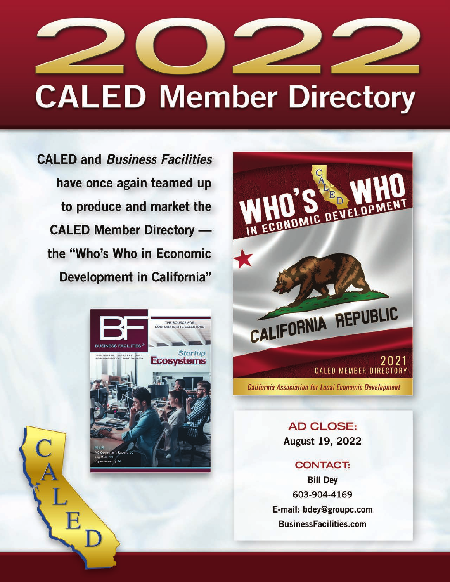

# **CALED Member Directory**

**CALED and Business Facilities** have once again teamed up to produce and market the **CALED Member Directory** the "Who's Who in Economic **Development in California"** 





**AD CLOSE:** August 19, 2022

#### **CONTACT:**

**Bill Dey** 603-904-4169 E-mail: bdey@groupc.com **BusinessFacilities.com**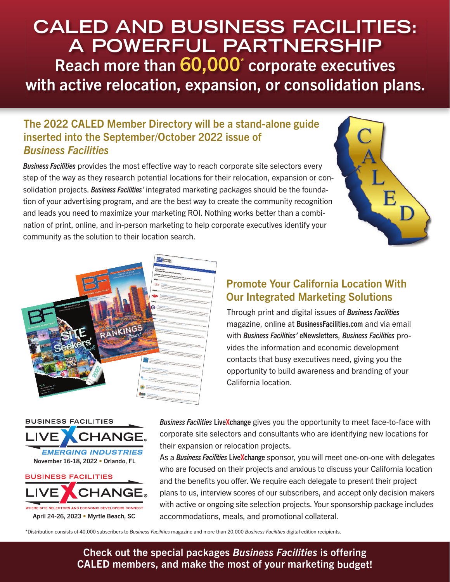# **CALED AND BUSINESS FACILITIES: A POWERFUL PARTNERSHIP** Reach more than 60,000<sup>\*</sup> corporate executives with active relocation, expansion, or consolidation plans.

### The 2022 CALED Member Directory will be a stand-alone guide inserted into the September/October 2022 issue of Business Facilities

Business Facilities provides the most effective way to reach corporate site selectors every step of the way as they research potential locations for their relocation, expansion or consolidation projects. Business Facilities' integrated marketing packages should be the foundation of your advertising program, and are the best way to create the community recognition and leads you need to maximize your marketing ROI. Nothing works better than a combination of print, online, and in-person marketing to help corporate executives identify your community as the solution to their location search.





## Promote Your California Location With Our Integrated Marketing Solutions

Through print and digital issues of **Business Facilities** magazine, online at BusinessFacilities.com and via email with Business Facilities' eNewsletters, Business Facilities provides the information and economic development contacts that busy executives need, giving you the opportunity to build awareness and branding of your California location.

**BUSINESS FACILITIES EMERGING INDUSTRIES**November 16-18, 2022 • Orlando, FL **BUSINESS FACILITIES** 



Business Facilities Live Xchange gives you the opportunity to meet face-to-face with corporate site selectors and consultants who are identifying new locations for their expansion or relocation projects.

As a Business Facilities LiveXchange sponsor, you will meet one-on-one with delegates who are focused on their projects and anxious to discuss your California location and the benefits you offer. We require each delegate to present their project plans to us, interview scores of our subscribers, and accept only decision makers with active or ongoing site selection projects. Your sponsorship package includes accommodations, meals, and promotional collateral.

\*Distribution consists of 40,000 subscribers to Business Facilities magazine and more than 20,000 Business Facilities digital edition recipients.

#### Check out the special packages Business Facilities is offering CALED members, and make the most of your marketing budget!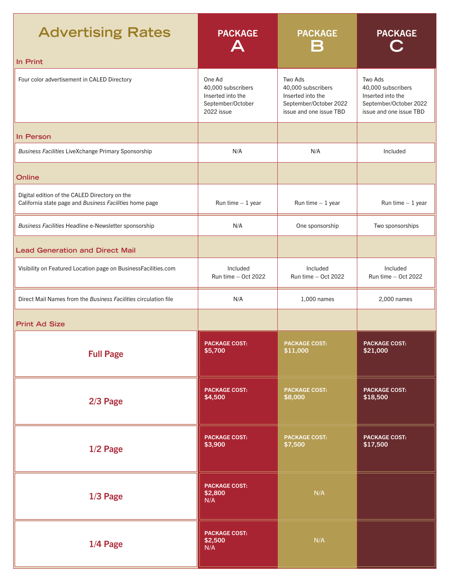| <b>Advertising Rates</b>                                                                                 | <b>PACKAGE</b>                                                                       | <b>PACKAGE</b><br>$\sim 10$                                                                             | <b>PACKAGE</b>                                                                                          |
|----------------------------------------------------------------------------------------------------------|--------------------------------------------------------------------------------------|---------------------------------------------------------------------------------------------------------|---------------------------------------------------------------------------------------------------------|
| In Print                                                                                                 |                                                                                      |                                                                                                         |                                                                                                         |
| Four color advertisement in CALED Directory                                                              | One Ad<br>40,000 subscribers<br>Inserted into the<br>September/October<br>2022 issue | Two Ads<br>40,000 subscribers<br>Inserted into the<br>September/October 2022<br>issue and one issue TBD | Two Ads<br>40,000 subscribers<br>Inserted into the<br>September/October 2022<br>issue and one issue TBD |
| In Person                                                                                                |                                                                                      |                                                                                                         |                                                                                                         |
| Business Facilities LiveXchange Primary Sponsorship                                                      | N/A                                                                                  | N/A                                                                                                     | Included                                                                                                |
| <b>Online</b>                                                                                            |                                                                                      |                                                                                                         |                                                                                                         |
| Digital edition of the CALED Directory on the<br>California state page and Business Facilities home page | Run time $-1$ year                                                                   | Run time $-1$ year                                                                                      | Run time $-1$ year                                                                                      |
| Business Facilities Headline e-Newsletter sponsorship                                                    | N/A                                                                                  | One sponsorship                                                                                         | Two sponsorships                                                                                        |
| <b>Lead Generation and Direct Mail</b>                                                                   |                                                                                      |                                                                                                         |                                                                                                         |
| Visibility on Featured Location page on BusinessFacilities.com                                           | Included<br>Run time - Oct 2022                                                      | Included<br>Run time $-$ Oct 2022                                                                       | Included<br>Run time - Oct 2022                                                                         |
| Direct Mail Names from the Business Facilities circulation file                                          | N/A                                                                                  | 1,000 names                                                                                             | 2,000 names                                                                                             |
| <b>Print Ad Size</b>                                                                                     |                                                                                      |                                                                                                         |                                                                                                         |
| <b>Full Page</b>                                                                                         | <b>PACKAGE COST:</b><br>\$5,700                                                      | <b>PACKAGE COST:</b><br>\$11,000                                                                        | <b>PACKAGE COST:</b><br>\$21,000                                                                        |
| 2/3 Page                                                                                                 | <b>PACKAGE COST:</b><br>\$4,500                                                      | <b>PACKAGE COST:</b><br>\$8,000                                                                         | <b>PACKAGE COST:</b><br>\$18,500                                                                        |
| $1/2$ Page                                                                                               | <b>PACKAGE COST:</b><br>\$3,900                                                      | <b>PACKAGE COST:</b><br>\$7,500                                                                         | <b>PACKAGE COST:</b><br>\$17,500                                                                        |
| $1/3$ Page                                                                                               | <b>PACKAGE COST:</b><br>\$2,800<br>N/A                                               | N/A                                                                                                     |                                                                                                         |
| 1/4 Page                                                                                                 | <b>PACKAGE COST:</b><br>\$2,500<br>N/A                                               | N/A                                                                                                     |                                                                                                         |